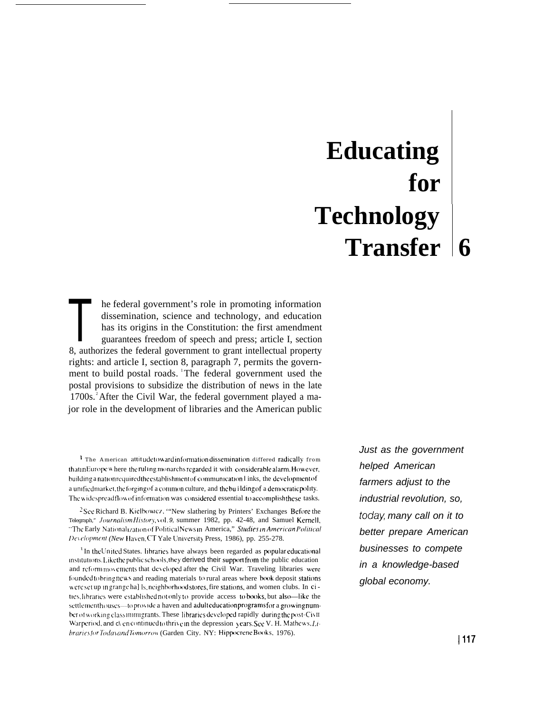# **Educating** for **Technology** Transfer 6

he federal government's role in promoting information dissemination, science and technology, and education has its origins in the Constitution: the first amendment guarantees freedom of speech and press; article I, section 8, authorizes the federal government to grant intellectual property rights: and article I, section 8, paragraph 7, permits the government to build postal roads. The federal government used the postal provisions to subsidize the distribution of news in the late 1700s. After the Civil War, the federal government played a major role in the development of libraries and the American public

<sup>1</sup> The American attitudetowardinformation dissemination differed radically from thatmEurope where the ruling monarchs regarded it with considerable alarm. However, building a nation required the establishment of communication l inks, the development of a unified market, the forging of a common culture, and the building of a democratic polity. The widespreadflow of information was considered essential to accomplishthese tasks.

<sup>2</sup>See Richard B. Kielbowicz, "'New slathering by Printers' Exchanges Before the Telegraph," JournalismHistory, vol. 9, summer 1982, pp. 42-48, and Samuel Kernell, "The Early Nationalization of PoliticalNewsin America," Studies in American Political Development (New Haven, CT Yale University Press, 1986), pp. 255-278.

<sup>3</sup> In the United States. libraries have always been regarded as populareducational institutions. Like the public schools, they derived their support from the public education and reform movements that developed after the Civil War. Traveling libraries were founded to bring news and reading materials to rural areas where book deposit stations were set up in grange ha] ls, neighborhood stores, fire stations, and women clubs. In cities, libraries were established not only to provide access to books, but also-like the settlementhouses—to provide a haven and adulteducation programs for a growing numberof working classimmigrants. These libraries developed rapidly during the post-Civil Warperiod, and c\ encontinued to thrive in the depression years. See V. H. Mathews, Libraries for Today and Tomorrow (Garden City, NY: Hippocrene Books, 1976).

Just as the government helped American farmers adjust to the industrial revolution, so, today, many call on it to better prepare American businesses to compete in a knowledge-based global economy.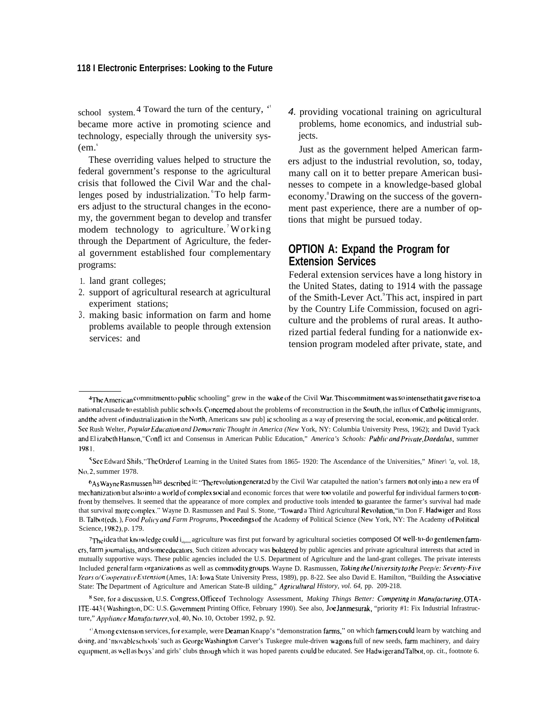#### 118 I Electronic Enterprises: Looking to the Future

school system.<sup>4</sup> Toward the turn of the century, " became more active in promoting science and technology, especially through the university sys- $(em.$ "

These overriding values helped to structure the federal government's response to the agricultural crisis that followed the Civil War and the challenges posed by industrialization. To help farmers adjust to the structural changes in the economy, the government began to develop and transfer modem technology to agriculture. Working through the Department of Agriculture, the federal government established four complementary programs:

- 1. land grant colleges;
- 2. support of agricultural research at agricultural experiment stations;
- 3. making basic information on farm and home problems available to people through extension services: and

4. providing vocational training on agricultural problems, home economics, and industrial subjects.

Just as the government helped American farmers adjust to the industrial revolution, so, today, many call on it to better prepare American businesses to compete in a knowledge-based global economy.<sup>8</sup> Drawing on the success of the government past experience, there are a number of options that might be pursued today.

# **OPTION A: Expand the Program for Extension Services**

Federal extension services have a long history in the United States, dating to 1914 with the passage of the Smith-Lever Act.<sup>9</sup>This act, inspired in part by the Country Life Commission, focused on agriculture and the problems of rural areas. It authorized partial federal funding for a nationwide extension program modeled after private, state, and

<sup>&</sup>lt;sup>4</sup>The American commitment to public schooling" grew in the wake of the Civil War. This commitment was so intense that it gave rise to a national crusade to establish public schools. Concerned about the problems of reconstruction in the South, the influx of Catholic immigrants, and the advent of industrialization in the North, Americans saw pub] ic schooling as a way of preserving the social, economic, and political order. See Rush Welter, Popular Education and Democratic Thought in America (New York, NY: Columbia University Press, 1962); and David Tyack and ElizabethHanson,"Confl ict and Consensus in American Public Education," America's Schools: Public and Private, Daedalus, summer 1981.

<sup>&</sup>lt;sup>5</sup>See Edward Shils, "The Order of Learning in the United States from 1865-1920: The Ascendance of the Universities," Miner\'a, vol. 18, No.2, summer 1978.

<sup>6</sup>As Wayne Rasmussen has described it: "The revolution generated by the Civil War catapulted the nation's farmers not only into a new era of mechanization but also into a world of complex social and economic forces that were too volatile and powerful for individual farmers to confront by themselves. It seemed that the appearance of more complex and productive tools intended to guarantee the farmer's survival had made that survival more complex." Wayne D. Rasmussen and Paul S. Stone, "Toward a Third Agricultural Revolution, "in Don F. Hadwiger and Ross B. Talbot(eds.), Food Policy and Farm Programs, Proceedings of the Academy of Political Science (New York, NY: The Academy of Political Science, 1982), p. 179.

<sup>7</sup>The idea that knowledge could interest agriculture was first put forward by agricultural societies composed Of well-to-do gentlemen farmers, farm journalists, and some educators. Such citizen advocacy was bolstered by public agencies and private agricultural interests that acted in mutually supportive ways. These public agencies included the U.S. Department of Agriculture and the land-grant colleges. The private interests Included general farm organizations as well as commodity groups. Wayne D. Rasmussen, Taking the University to the Peep/e: Seventy-Five Years o/CooperativeExtension (Ames, 1A: Iowa State University Press, 1989), pp. 8-22. See also David E. Hamilton, "Building the Associative State: The Department of Agriculture and American State-B uilding," Agricultural History, vol. 64, pp. 209-218.

<sup>8</sup> See, for a discussion, U.S. Congress, Office of Technology Assessment, Making Things Better: Competing in Manufacturing, OTA-ITE-443 (Washington, DC: U.S. Government Printing Office, February 1990). See also, Joe Janmesurak, "priority #1: Fix Industrial Infrastructure," Appliance Manufacturer, vol. 40, No. 10, October 1992, p. 92.

<sup>&</sup>quot;Among extension services, for example, were Deaman Knapp's "demonstration farms," on which farmers could learn by watching and doing, and 'movable schools' such as George Washington Carver's Tuskegee mule-driven wagons full of new seeds, farm machinery, and dairy equipment, as well as boys' and girls' clubs through which it was hoped parents could be educated. See Hadwiger and Talbot, op. cit., footnote 6.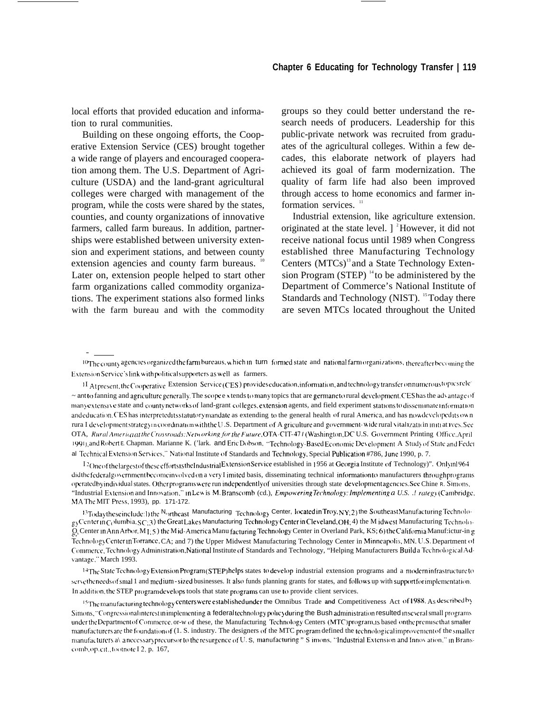local efforts that provided education and information to rural communities.

Building on these ongoing efforts, the Cooperative Extension Service (CES) brought together a wide range of players and encouraged cooperation among them. The U.S. Department of Agriculture (USDA) and the land-grant agricultural colleges were charged with management of the program, while the costs were shared by the states, counties, and county organizations of innovative farmers, called farm bureaus. In addition, partnerships were established between university extension and experiment stations, and between county extension agencies and county farm bureaus. <sup>10</sup> Later on, extension people helped to start other farm organizations called commodity organizations. The experiment stations also formed links with the farm bureau and with the commodity

groups so they could better understand the research needs of producers. Leadership for this public-private network was recruited from graduates of the agricultural colleges. Within a few decades, this elaborate network of players had achieved its goal of farm modernization. The quality of farm life had also been improved through access to home economics and farmer information services. "

Industrial extension, like agriculture extension. originated at the state level.  $\int_0^2$ However, it did not receive national focus until 1989 when Congress established three Manufacturing Technology Centers (MTCs)<sup>13</sup> and a State Technology Extension Program (STEP)  $^{14}$  to be administered by the Department of Commerce's National Institute of Standards and Technology (NIST). <sup>15</sup> Today there are seven MTCs located throughout the United

<sup>10</sup>The county agencies organized the farm bureaus, which in turn formed state and national farm organizations, thereafter becoming the Extension Service's link with political supporters as well as farmers.

1I Atpresent, the Cooperative Extension Service (CES) provides education, information, and technology transfer on numerous topics rele- $\sim$  ant to fanning and agriculture generally. The scope extends to many topics that are germane to rural development. CES has the advantage of manye xtensive state and countynetworks of land-grant colleges, extension agents, and field experiment stations to disseminate information and education. CES has interpretedits statutory mandate as extending to the general health of rural America, and has now developedits own rura I developmentstrategym coordination with the U.S. Department of A griculture and government-wide rural vitalization initiatives. See OTA, Rural America at the Crossroads: Networking for the Future, OTA-CIT-47 1 (Washington, DC U.S. Government Printing Office, April 1991), and Robert E. Chapman. Marianne K. ('lark. and EricDobson, "Technology-Based Economic Development A Study of State and Feder al Technical Extension Services," National Institute of Standards and Technology, Special Publication #786, June 1990, p. 7.

12 One of the largest of these efforts is the Industrial Extension Service established in 1956 at Georgia Institute of Technology)". Onlyin1964 didthefederalgovernment become involved on a very I imited basis, disseminating technical information to manufacturers throughprograms operated byindividual states. Other programs were run independently of universities through state development agencies. See Chine R. Simons, "Industrial Extension and Innovation," in Lew is M. Branscomb (cd.), *Empowering Technology: Implementing a U.S. .! rategy* (Cambridge, MA The MIT Press, 1993), pp. 171-172.

<sup>13</sup>Today these include:1) the N<sub>o</sub>rtheast Manufacturing Technology Center, Iocated in Troy, NY; 2) the Southeast Manufacturing Technolo $gy$ Center in  $C_1$  Jumbia,  $SC_1$ 3) the Great Lakes Manufacturing Technology Center in Cleveland, OH; 4) the M idwest Manufacturing Technolo-O<sub>s</sub> Center in Ann Arbor, M<sub>1;</sub> 5) the Mid-America Manu facturing Technology Center in Overland Park, KS; 6) the California Manuf:ictur-in g Technology Center in Torrance, CA; and 7) the Upper Midwest Manufacturing Technology Center in Minneapolis, MN. U.S. Department of Commerce, Technology Administration, National Institute of Standards and Technology, "Helping Manufacturers Build a Technological Advantage," March 1993.

<sup>14</sup>The State Technology Extension Program (STEP) helps states to develop industrial extension programs and a moderninfrastructure to serve the needs of smal 1 and medium - sized businesses. It also funds planning grants for states, and follows up with supportfor implementation. In addition, the STEP program develops tools that state programs can use to provide client services.

<sup>15</sup>The manufacturing technology centers were established under the Omnibus Trade and Competitiveness Act of 1988. As described by Simons, "Congressional interest in implementing a federal technology policy during the Bush administration resulted in several small programs under the Department of Commerce, or-w of these, the Manufacturing Technology Centers (MTC)program, is based on the premise that smaller manufacturers are the foundation of (1. S. industry. The designers of the MTC program defined the technological improvement of the smaller manufacturers a\ anecessary precursor to the resurgence of U.S, manufacturing " S imons, "Industrial Extension and Innovation," in Branscomb, op. cit., footnote I2, p. 167,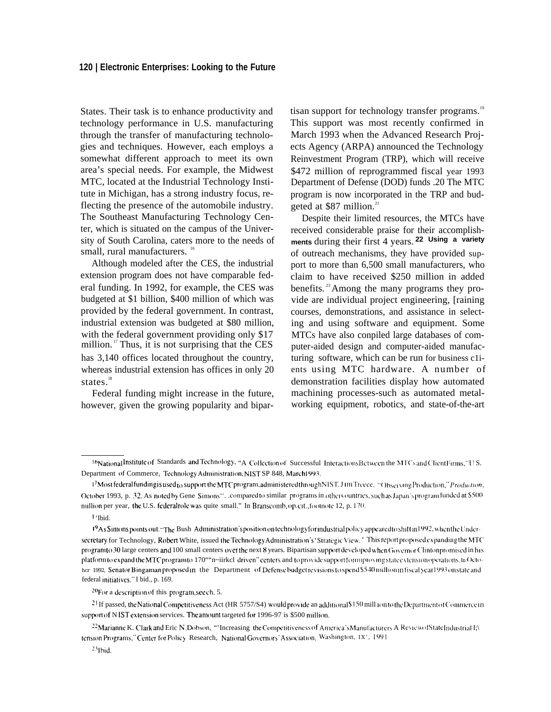#### **120 | Electronic Enterprises: Looking to the Future**

States. Their task is to enhance productivity and technology performance in U.S. manufacturing through the transfer of manufacturing technologies and techniques. However, each employs a somewhat different approach to meet its own area's special needs. For example, the Midwest MTC, located at the Industrial Technology Institute in Michigan, has a strong industry focus, reflecting the presence of the automobile industry. The Southeast Manufacturing Technology Center, which is situated on the campus of the University of South Carolina, caters more to the needs of small, rural manufacturers.<sup>16</sup>

Although modeled after the CES, the industrial extension program does not have comparable federal funding. In 1992, for example, the CES was budgeted at \$1 billion, \$400 million of which was provided by the federal government. In contrast, industrial extension was budgeted at \$80 million, with the federal government providing only \$17 million.<sup>17</sup> Thus, it is not surprising that the CES has 3,140 offices located throughout the country, whereas industrial extension has offices in only 20 states. $\frac{18}{3}$ 

Federal funding might increase in the future, however, given the growing popularity and bipartisan support for technology transfer programs.<sup>19</sup> This support was most recently confirmed in March 1993 when the Advanced Research Projects Agency (ARPA) announced the Technology Reinvestment Program (TRP), which will receive \$472 million of reprogrammed fiscal year 1993 Department of Defense (DOD) funds .20 The MTC program is now incorporated in the TRP and budgeted at \$87 million.<sup>21</sup>

Despite their limited resources, the MTCs have received considerable praise for their accomplishments during their first 4 years. 22 Using a variety of outreach mechanisms, they have provided support to more than 6,500 small manufacturers, who claim to have received \$250 million in added benefits. <sup>23</sup>Among the many programs they provide are individual project engineering, [raining courses, demonstrations, and assistance in selecting and using software and equipment. Some MTCs have also conpiled large databases of computer-aided design and computer-aided manufacturing software, which can be run for business c1ients using MTC hardware. A number of demonstration facilities display how automated machining processes-such as automated metalworking equipment, robotics, and state-of-the-art

<sup>16</sup>National Institute of Standards and Technology, "A Collection of Successful Interactions Between the MTCs and Client Firms," U.S. Department of Commerce, Technology Administration, NIST SP 848, March1993.

<sup>&</sup>lt;sup>17</sup>Mostfederal funding is used to support the MTC program, administered through NIST. J Im Trecce, "Observing Production," Production, October 1993, p. 32. As noted by Gene Simons". .compared to similar programs in other countries, such as Japan's programfunded at \$500 million per year, the U.S. federal role was quite small." In Branscomb, op. cit., footnote 12, p. 170.

<sup>1 &#</sup>x27;Ibid.

<sup>19</sup>As Simons points out: "The Bush Administration's position on technology for industrial policy appeared to shift in 1992, when the Undersecretary for Technology, Robert White, issued the Technology Administration's 'Strategic View. ' This report proposed expanding the MTC program to 30 large centers and 100 small centers over the next 8 years. Bipartisan support developed when Governor Clinton promised in his platform to expand the MTC program to 170""n~iirkcl driven" centers and toprovide support for improving state extension operations. In Octoher 1992, Senator Bingaman proposed in the Department of Defense budget revisions to spend \$540 million infiscal year 1993 on state and federal initiatives." I bid., p. 169.

 $20$ For a description of this program, see ch. 5.

 $21$  If passed, the National Competitiveness Act (HR 5757/S4) would provide an additional \$150 mill 10n to the Department of Commerce in support of N IST extension services. The amount targeted for 1996-97 is \$500 million.

<sup>&</sup>lt;sup>22</sup>Marianne K. Clark and Eric N. Dobson, "'Increasing the Competitiveness of America's Manufacturers A Review of State Industrial I;\ tension Programs," Center for Policy Research, National Governors' Association, Washington, IX', 1991

 $23$  lbid.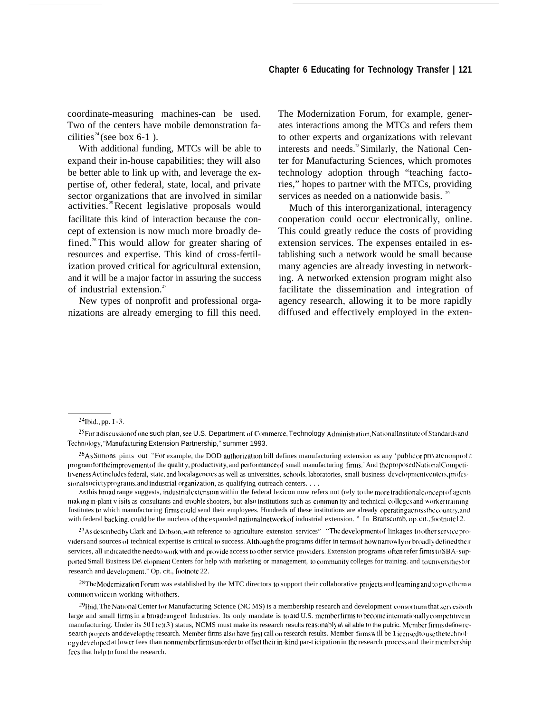coordinate-measuring machines-can be used. Two of the centers have mobile demonstration facilities<sup>24</sup> (see box 6-1).

With additional funding, MTCs will be able to expand their in-house capabilities; they will also be better able to link up with, and leverage the expertise of, other federal, state, local, and private sector organizations that are involved in similar activities.<sup>25</sup>Recent legislative proposals would facilitate this kind of interaction because the concept of extension is now much more broadly defined.<sup>26</sup>This would allow for greater sharing of resources and expertise. This kind of cross-fertilization proved critical for agricultural extension, and it will be a major factor in assuring the success of industrial extension.<sup>27</sup>

New types of nonprofit and professional organizations are already emerging to fill this need. The Modernization Forum, for example, generates interactions among the MTCs and refers them to other experts and organizations with relevant interests and needs.<sup>28</sup> Similarly, the National Center for Manufacturing Sciences, which promotes technology adoption through "teaching factories," hopes to partner with the MTCs, providing services as needed on a nationwide basis.  $29$ 

Much of this interorganizational, interagency cooperation could occur electronically, online. This could greatly reduce the costs of providing extension services. The expenses entailed in establishing such a network would be small because many agencies are already investing in networking. A networked extension program might also facilitate the dissemination and integration of agency research, allowing it to be more rapidly diffused and effectively employed in the exten-

 $^{24}$ Ibid., pp. I -3.

<sup>&</sup>lt;sup>25</sup> For a discussion of one such plan, see U.S. Department of Commerce, Technology Administration, National Institute of Standards and Technology, "Manufacturing Extension Partnership," summer 1993.

 $26$ As Simons pints out: "For example, the DOD authorization bill defines manufacturing extension as any 'public or private nonprofit program for the improvement of the qualit y, productivity, and performance of small manufacturing firms.' And the proposed National Competittveness Actincludes federal, state, and localagencies as well as universities, schools, laboratories, small business development centers, professional society programs, and industrial organization, as qualifying outreach centers. . . .

As this broad range suggests, industrial extension within the federal lexicon now refers not (rely to the more traditional concept of agents making in-plant v isits as consultants and trouble shooters, but also institutions such as commun ity and technical colleges and workertraining Institutes to which manufacturing firms could send their employees. Hundreds of these institutions are already operating across the country, and with federal backing, could be the nucleus of the expanded national network of industrial extension. " In Branscomb, op. cit., footnote 12.

<sup>&</sup>lt;sup>27</sup> As described by Clark and Dobson, with reference to agriculture extension services" "The development of linkages to other service providers and sources of technical expertise is critical to success. Although the programs differ in terms of how narrowly or broadly defined their services, all indicated the need to work with and provide access to other service providers. Extension programs often refer firms to SBA-supported Small Business De\ clopment Centers for help with marketing or management, to community colleges for training. and to universities for research and development." Op. cit., footnote 22.

 $28$ The Modernization Forum was established by the MTC directors to support their collaborative projects and learning and to give them a common voice in working with others.

 $^{29}$ Ibid. The National Center for Manufacturing Science (NC MS) is a membership research and development consortuum that scr $v$ cs both large and small firms in a broad range of Industries. Its only mandate is to aid U.S. member firms to become internationally competitive in manufacturing. Under its 50 I (c)(3) status, NCMS must make its research results reasonably a\ ail able to the public. Member firms define research projects and develop the research. Member firms also have first call on research results. Member firms will be 1 icensed to use the technology developed at lower fees than nonmember firms in order to offset their in-kind par-t icipation in the research process and their membership fees that help to fund the research.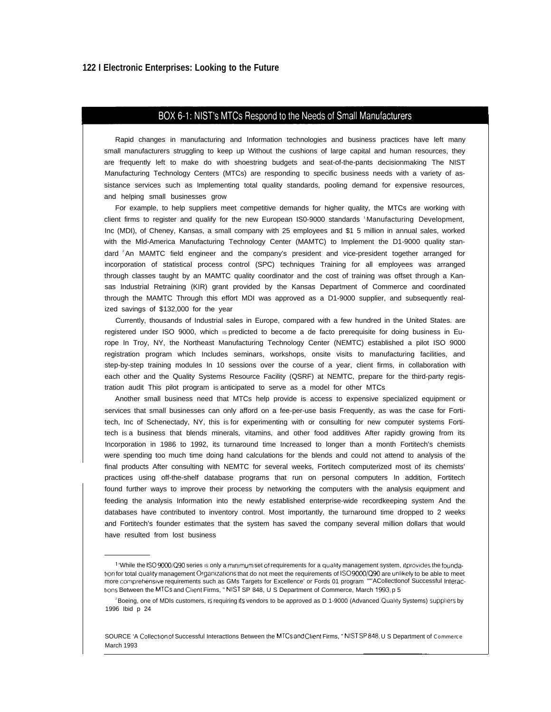## BOX 6-1: NIST's MTCs Respond to the Needs of Small Manufacturers

Rapid changes in manufacturing and Information technologies and business practices have left many small manufacturers struggling to keep up Without the cushions of large capital and human resources, they are frequently left to make do with shoestring budgets and seat-of-the-pants decisionmaking The NIST Manufacturing Technology Centers (MTCs) are responding to specific business needs with a variety of assistance services such as Implementing total quality standards, pooling demand for expensive resources, and helping small businesses grow

For example, to help suppliers meet competitive demands for higher quality, the MTCs are working with client firms to register and qualify for the new European IS0-9000 standards 'Manufacturing Development, Inc (MDI), of Cheney, Kansas, a small company with 25 employees and \$1 5 million in annual sales, worked with the Mld-America Manufacturing Technology Center (MAMTC) to Implement the D1-9000 quality standard <sup>2</sup>An MAMTC field engineer and the company's president and vice-president together arranged for incorporation of statistical process control (SPC) techniques Training for all employees was arranged through classes taught by an MAMTC quality coordinator and the cost of training was offset through a Kansas Industrial Retraining (KIR) grant provided by the Kansas Department of Commerce and coordinated through the MAMTC Through this effort MDI was approved as a D1-9000 supplier, and subsequently realized savings of \$132,000 for the year

Currently, thousands of Industrial sales in Europe, compared with a few hundred in the United States. are registered under ISO 9000, which is predicted to become a de facto prerequisite for doing business in Europe In Troy, NY, the Northeast Manufacturing Technology Center (NEMTC) established a pilot ISO 9000 registration program which Includes seminars, workshops, onsite visits to manufacturing facilities, and step-by-step training modules In 10 sessions over the course of a year, client firms, in collaboration with each other and the Quality Systems Resource Facility (QSRF) at NEMTC, prepare for the third-party registration audit This pilot program is anticipated to serve as a model for other MTCs

Another small business need that MTCs help provide is access to expensive specialized equipment or services that small businesses can only afford on a fee-per-use basis Frequently, as was the case for Fortitech, Inc of Schenectady, NY, this is for experimenting with or consulting for new computer systems Fortitech is a business that blends minerals, vitamins, and other food additives After rapidly growing from its Incorporation in 1986 to 1992, its turnaround time Increased to longer than a month Fortitech's chemists were spending too much time doing hand calculations for the blends and could not attend to analysis of the final products After consulting with NEMTC for several weeks, Fortitech computerized most of its chemists' practices using off-the-shelf database programs that run on personal computers In addition, Fortitech found further ways to improve their process by networking the computers with the analysis equipment and feeding the analysis Information into the newly established enterprise-wide recordkeeping system And the databases have contributed to inventory control. Most importantly, the turnaround time dropped to 2 weeks and Fortitech's founder estimates that the system has saved the company several million dollars that would have resulted from lost business

<sup>1 &#</sup>x27;While the ISO 9000/C)90 series IS only a mmlmum set of requirements for a quallty management system, It prowdes the foundation for total quality management Organizations that do not meet the requirements of ISO 9000/Q90 are unlikely to be able to meet more comprehensive requirements such as GMs Targets for Excellence' or Fords 01 program ""ACollectlonof Successful Interactions Between the MTCs and Client Firms, " NIST SP 848, U S Department of Commerce, March 1993, p 5

<sup>&</sup>lt;sup>2</sup>Boeing, one of MDIs customers, is requiring its vendors to be approved as D 1-9000 (Advanced Quality Systems) suppliers by 1996 Ibid p 24

SOURCE 'A Collection of Successful InteractIons Between the MTCs and Client Firms, " NISTSP848. U S Department of Commerce March 1993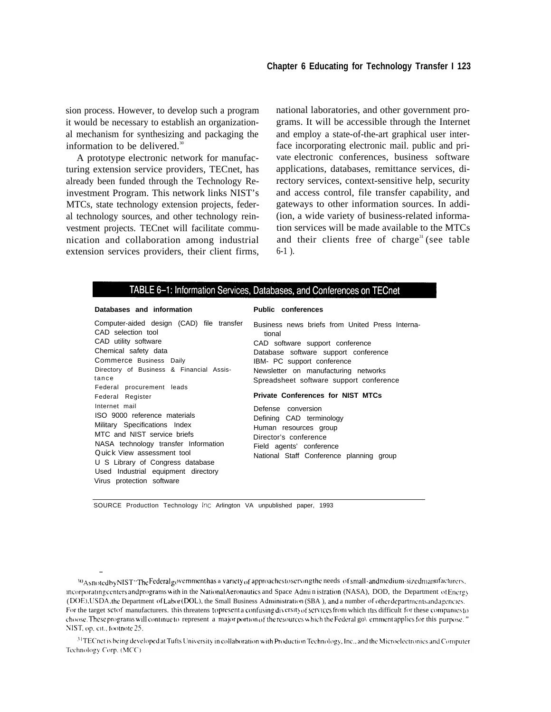sion process. However, to develop such a program it would be necessary to establish an organizational mechanism for synthesizing and packaging the information to be delivered. $3$ 

A prototype electronic network for manufacturing extension service providers, TECnet, has already been funded through the Technology Reinvestment Program. This network links NIST's MTCs, state technology extension projects, federal technology sources, and other technology reinvestment projects. TECnet will facilitate communication and collaboration among industrial extension services providers, their client firms, national laboratories, and other government programs. It will be accessible through the Internet and employ a state-of-the-art graphical user interface incorporating electronic mail. public and private electronic conferences, business software applications, databases, remittance services, directory services, context-sensitive help, security and access control, file transfer capability, and gateways to other information sources. In addi- (ion, a wide variety of business-related information services will be made available to the MTCs and their clients free of charge<sup>31</sup> (see table 6-1 ).

## TABLE 6-1: Information Services, Databases, and Conferences on TECnet

#### **Databases and information**

—

Computer-aided design (CAD) file transfer CAD selection tool CAD utility software Chemical safety data Commerce Business Daily Directory of Business & Financial Assistance Federal procurement leads Federal Register Internet mail ISO 9000 reference materials Military Specifications Index MTC and NIST service briefs NASA technology transfer Information Quick View assessment tool U S Library of Congress database Used Industrial equipment directory Virus protection software

#### **Public conferences**

Business news briefs from United Press International CAD software support conference Database software support conference IBM- PC support conference Newsletter on manufacturing networks Spreadsheet software support conference

#### **Private Conferences for NIST MTCs**

Defense conversion Defining CAD terminology Human resources group Director's conference Field agents' conference National Staff Conference planning group

SOURCE ProductIon Technology Inc Arlington VA unpublished paper, 1993

30 A snoted by NIST "The Federal government has a variety of approaches to serving the needs of small-and medium-sized manufacturers, incorporating centers and programs with in the National Aeronautics and Space Admin istration (NASA), DOD, the Department of Energy ( DOE), USDA, the Department of Labor (DOL), the Small Business Administration (SBA), and a number of other departments and agencies. For the target set of manufacturers. this threatens to present a confusing diversity of services from which it is difficult for these companies to choose. These programs will continue to represent a major portion of the resources which the Federal go\ emment applies for this purpose. " NIST, op. cit., footnote 25.

31 TECnet is being developed at Tufts University in collaboration with Production Technology, Inc., and the Microelectronics and Computer Technology Corp. (MCC)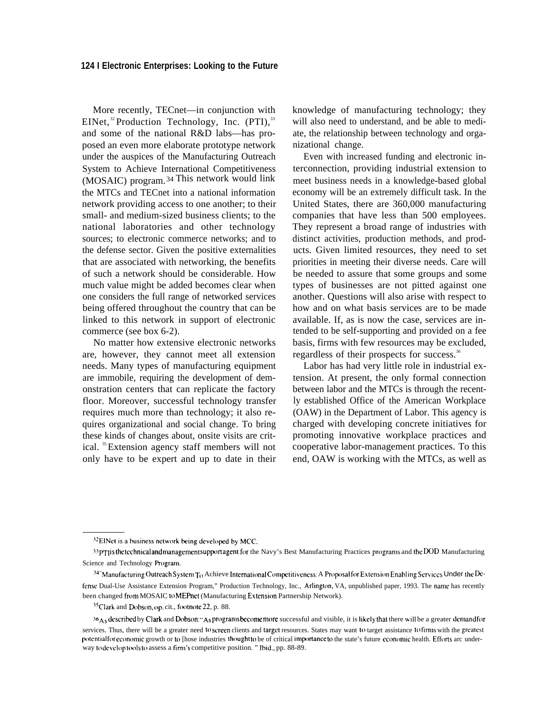More recently, TECnet—in conjunction with EINet,<sup>32</sup> Production Technology, Inc.  $(PTI)$ ,<sup>33</sup> and some of the national R&D labs—has proposed an even more elaborate prototype network under the auspices of the Manufacturing Outreach System to Achieve International Competitiveness (MOSAIC) program.<sup>34</sup> This network would link the MTCs and TECnet into a national information network providing access to one another; to their small- and medium-sized business clients; to the national laboratories and other technology sources; to electronic commerce networks; and to the defense sector. Given the positive externalities that are associated with networking, the benefits of such a network should be considerable. How much value might be added becomes clear when one considers the full range of networked services being offered throughout the country that can be linked to this network in support of electronic commerce (see box 6-2).

No matter how extensive electronic networks are, however, they cannot meet all extension needs. Many types of manufacturing equipment are immobile, requiring the development of demonstration centers that can replicate the factory floor. Moreover, successful technology transfer requires much more than technology; it also requires organizational and social change. To bring these kinds of changes about, onsite visits are critical. <sup>35</sup>Extension agency staff members will not only have to be expert and up to date in their knowledge of manufacturing technology; they will also need to understand, and be able to mediate, the relationship between technology and organizational change.

Even with increased funding and electronic interconnection, providing industrial extension to meet business needs in a knowledge-based global economy will be an extremely difficult task. In the United States, there are 360,000 manufacturing companies that have less than 500 employees. They represent a broad range of industries with distinct activities, production methods, and products. Given limited resources, they need to set priorities in meeting their diverse needs. Care will be needed to assure that some groups and some types of businesses are not pitted against one another. Questions will also arise with respect to how and on what basis services are to be made available. If, as is now the case, services are intended to be self-supporting and provided on a fee basis, firms with few resources may be excluded, regardless of their prospects for success.<sup>36</sup>

Labor has had very little role in industrial extension. At present, the only formal connection between labor and the MTCs is through the recently established Office of the American Workplace (OAW) in the Department of Labor. This agency is charged with developing concrete initiatives for promoting innovative workplace practices and cooperative labor-management practices. To this end, OAW is working with the MTCs, as well as

<sup>&</sup>lt;sup>32</sup>EINet is a business network being developed by MCC.

<sup>33</sup>PTI is the technical and management support agent for the Navy's Best Manufacturing Practices programs and the DOD Manufacturing Science and Technology Program.

<sup>34&</sup>quot; Manufacturing Outreach System T<sub>O</sub> Achieve International Competitiveness: A Proposal for Extension Enabling Services Under the Defense Dual-Use Assistance Extension Program," Production Technology, Inc., Arlington, VA, unpublished paper, 1993. The name has recently been changed from MOSAIC to MEPnet (Manufacturing Extension Partnership Network).

<sup>&</sup>lt;sup>35</sup>Clark and Dobson, op. cit., footnote 22, p. 88.

<sup>36&</sup>lt;sub>As</sub> described by Clark and Dobson:"As programs become more successful and visible, it is likely that there will be a greater demand for services. Thus, there will be a greater need to screen clients and target resources. States may want to target assistance to firms with the greatest potential for economic growth or to [hose industries thought to be of critical importance to the state's future economic health. Efforts arc underway to develop tools to assess a firm's competitive position. " Ibid., pp. 88-89.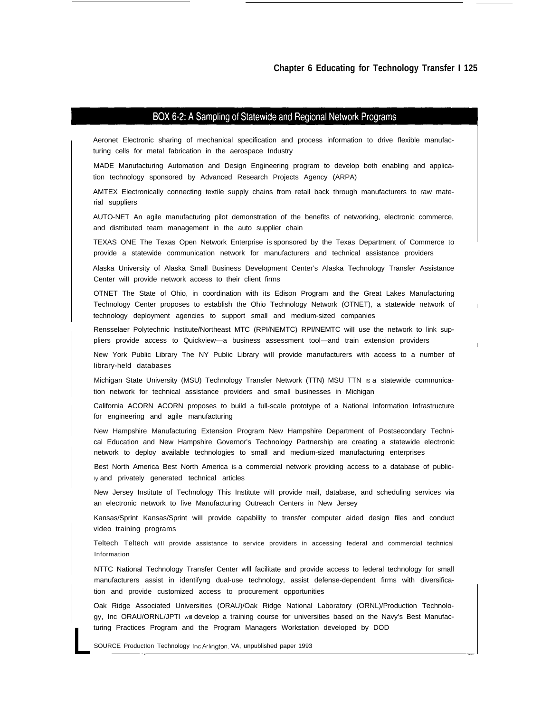### BOX 6-2: A Sampling of Statewide and Regional Network Programs

Aeronet Electronic sharing of mechanical specification and process information to drive flexible manufacturing cells for metal fabrication in the aerospace Industry

MADE Manufacturing Automation and Design Engineering program to develop both enabling and application technology sponsored by Advanced Research Projects Agency (ARPA)

AMTEX Electronically connecting textile supply chains from retail back through manufacturers to raw material suppliers

AUTO-NET An agile manufacturing pilot demonstration of the benefits of networking, electronic commerce, and distributed team management in the auto supplier chain

TEXAS ONE The Texas Open Network Enterprise is sponsored by the Texas Department of Commerce to provide a statewide communication network for manufacturers and technical assistance providers

Alaska University of Alaska Small Business Development Center's Alaska Technology Transfer Assistance Center wiII provide network access to their client firms

OTNET The State of Ohio, in coordination with its Edison Program and the Great Lakes Manufacturing Technology Center proposes to establish the Ohio Technology Network (OTNET), a statewide network of technology deployment agencies to support small and medium-sized companies

Rensselaer Polytechnic lnstitute/Northeast MTC (RPI/NEMTC) RPI/NEMTC wiII use the network to link suppliers provide access to Quickview—a business assessment tool—and train extension providers

New York Public Library The NY Public Library wiII provide manufacturers with access to a number of Iibrary-held databases

Michigan State University (MSU) Technology Transfer Network (TTN) MSU TTN IS a statewide communication network for technical assistance providers and small businesses in Michigan

California ACORN ACORN proposes to build a full-scale prototype of a National Information Infrastructure for engineering and agile manufacturing

New Hampshire Manufacturing Extension Program New Hampshire Department of Postsecondary Technical Education and New Hampshire Governor's Technology Partnership are creating a statewide electronic network to deploy available technologies to small and medium-sized manufacturing enterprises

Best North America Best North America is a commercial network providing access to a database of public-Iy and privately generated technical articles

New Jersey Institute of Technology This Institute wiII provide mail, database, and scheduling services via an electronic network to five Manufacturing Outreach Centers in New Jersey

Kansas/Sprint Kansas/Sprint wiII provide capability to transfer computer aided design files and conduct video training programs

Teltech Teltech wiII provide assistance to service providers in accessing federal and commercial technical Information

NTTC National Technology Transfer Center wlll facilitate and provide access to federal technology for small manufacturers assist in identifyng dual-use technology, assist defense-dependent firms with diversification and provide customized access to procurement opportunities

Oak Ridge Associated Universities (ORAU)/Oak Ridge National Laboratory (ORNL)/Production Technology, Inc ORAU/ORNL/JPTI will develop a training course for universities based on the Navy's Best Manufacturing Practices Program and the Program Managers Workstation developed by DOD

SOURCE ProductIon Technology Inc Arlmglon, VA, unpublished paper 1993 . . —

L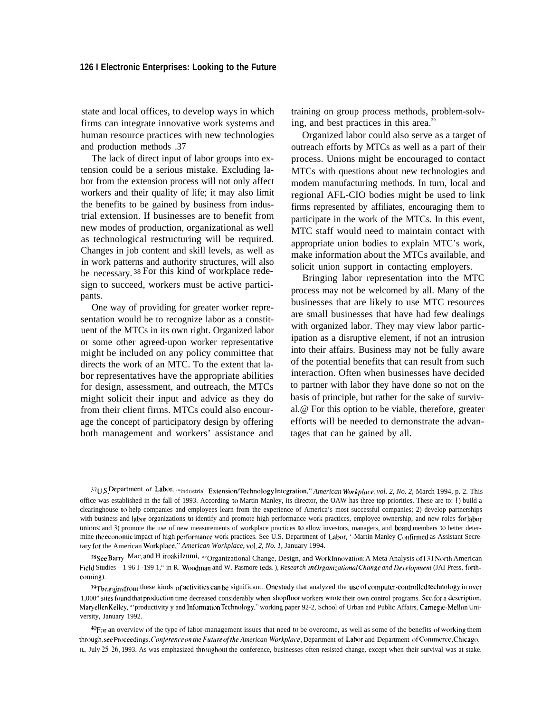state and local offices, to develop ways in which firms can integrate innovative work systems and human resource practices with new technologies and production methods .37

The lack of direct input of labor groups into extension could be a serious mistake. Excluding labor from the extension process will not only affect workers and their quality of life; it may also limit the benefits to be gained by business from industrial extension. If businesses are to benefit from new modes of production, organizational as well as technological restructuring will be required. Changes in job content and skill levels, as well as in work patterns and authority structures, will also be necessary. <sup>38</sup>For this kind of workplace redesign to succeed, workers must be active participants.

One way of providing for greater worker representation would be to recognize labor as a constituent of the MTCs in its own right. Organized labor or some other agreed-upon worker representative might be included on any policy committee that directs the work of an MTC. To the extent that labor representatives have the appropriate abilities for design, assessment, and outreach, the MTCs might solicit their input and advice as they do from their client firms. MTCs could also encourage the concept of participatory design by offering both management and workers' assistance and

training on group process methods, problem-solving, and best practices in this area.<sup>39</sup>

Organized labor could also serve as a target of outreach efforts by MTCs as well as a part of their process. Unions might be encouraged to contact MTCs with questions about new technologies and modem manufacturing methods. In turn, local and regional AFL-CIO bodies might be used to link firms represented by affiliates, encouraging them to participate in the work of the MTCs. In this event, MTC staff would need to maintain contact with appropriate union bodies to explain MTC's work, make information about the MTCs available, and solicit union support in contacting employers.

Bringing labor representation into the MTC process may not be welcomed by all. Many of the businesses that are likely to use MTC resources are small businesses that have had few dealings with organized labor. They may view labor participation as a disruptive element, if not an intrusion into their affairs. Business may not be fully aware of the potential benefits that can result from such interaction. Often when businesses have decided to partner with labor they have done so not on the basis of principle, but rather for the sake of survival.@ For this option to be viable, therefore, greater efforts will be needed to demonstrate the advantages that can be gained by all.

<sup>37</sup>U S Department of Labor, "industrial Extension/Technology Integration," *American Workplace, vol. 2, No. 2, March 1994, p. 2. This* office was established in the fall of 1993. According to Martin Manley, its director, the OAW has three top priorities. These are to: I ) build a clearinghouse 10 help companies and employees learn from the experience of America's most successful companies; 2) develop partnerships with business and labor organizations to identify and promote high-performance work practices, employee ownership, and new roles for labor unions; and 3) promote the use of new measurements of workplace practices to allow investors, managers, and board members to better determine the economic impact of high performance work practices. See U.S. Department of Labor, '-Martin Manley Confirmed as Assistant Secretary for the American Workplace,'" *American Workplace, vol. 2, No. 1,* January 1994.

<sup>38</sup> See Barry Mac, and H iroaki Izumi, "'Organizational Change, Design, and Work Innovation: A Meta Analysis of 13 I North American Field Studies—1 96 I -199 1," in R. Woodman and W. Pasmore (eds.), *Research in Organizational Change and Development* (JAI Press, forthcoming).

<sup>39</sup>The gains from these kinds of activities can be significant. One study that analyzed the use of computer-controlled technology in over 1,000" sites found that production time decreased considerably when shopfloor workers wrote their own control programs. See, for a description, Maryellen Kelley, "'productivity y and Information Technology," working paper 92-2, School of Urban and Public Affairs, Camegie-Mellon University, January 1992.

<sup>%)</sup>r an overview of the type of labor-management issues that need to be overcome, as well as some of the benefits of working them through, see Proceedings, Conference on the Future of the American Workplace, Department of Labor and Department of Commerce, Chicago, IL, July 25-26, 1993. As was emphasized throughout the conference, businesses often resisted change, except when their survival was at stake.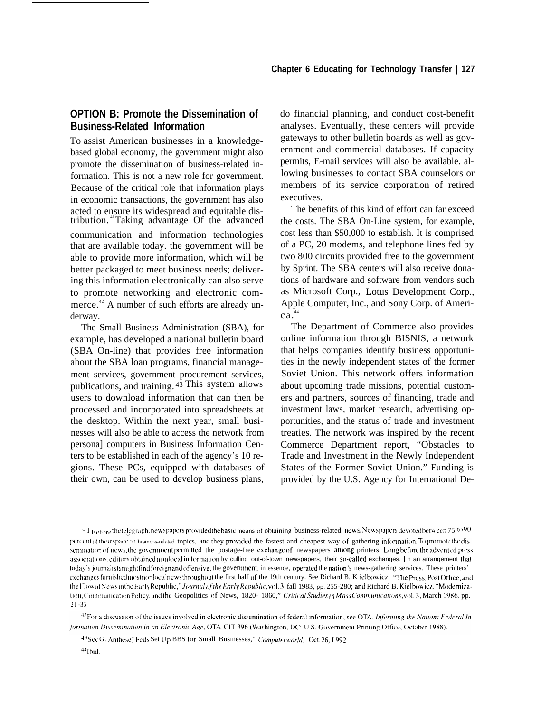# **OPTION B: Promote the Dissemination of Business-Related Information**

To assist American businesses in a knowledgebased global economy, the government might also promote the dissemination of business-related information. This is not a new role for government. Because of the critical role that information plays in economic transactions, the government has also acted to ensure its widespread and equitable distribution.<sup>41</sup> Taking advantage Of the advanced communication and information technologies that are available today. the government will be able to provide more information, which will be better packaged to meet business needs; delivering this information electronically can also serve to promote networking and electronic commerce.<sup>42</sup> A number of such efforts are already underway.

The Small Business Administration (SBA), for example, has developed a national bulletin board (SBA On-line) that provides free information about the SBA loan programs, financial management services, government procurement services, publications, and training. <sup>43</sup>This system allows users to download information that can then be processed and incorporated into spreadsheets at the desktop. Within the next year, small businesses will also be able to access the network from persona] computers in Business Information Centers to be established in each of the agency's 10 regions. These PCs, equipped with databases of their own, can be used to develop business plans,

do financial planning, and conduct cost-benefit analyses. Eventually, these centers will provide gateways to other bulletin boards as well as government and commercial databases. If capacity permits, E-mail services will also be available. allowing businesses to contact SBA counselors or members of its service corporation of retired executives.

The benefits of this kind of effort can far exceed the costs. The SBA On-Line system, for example, cost less than \$50,000 to establish. It is comprised of a PC, 20 modems, and telephone lines fed by two 800 circuits provided free to the government by Sprint. The SBA centers will also receive donations of hardware and software from vendors such as Microsoft Corp., Lotus Development Corp., Apple Computer, Inc., and Sony Corp. of Ameri $ca.^{44}$ 

The Department of Commerce also provides online information through BISNIS, a network that helps companies identify business opportunities in the newly independent states of the former Soviet Union. This network offers information about upcoming trade missions, potential customers and partners, sources of financing, trade and investment laws, market research, advertising opportunities, and the status of trade and investment treaties. The network was inspired by the recent Commerce Department report, "Obstacles to Trade and Investment in the Newly Independent States of the Former Soviet Union." Funding is provided by the U.S. Agency for International De-

 $~\sim$  I Before the telegraph, new spapers provided the basic means of obtaining business-related news. New spapers devoted between 75 to 90 percent of theirspace to hrsinc-s-related topics, and they provided the fastest and cheapest way of gathering information. To promote the dissemination of news, the government permitted the postage-free exchange of newspapers among printers. Long before the advent of press associations, editors obtained nonlocal in formation by culling out-of-town newspapers, their so-called exchanges. In an arrangement that today's journalists might find foreign and offensive, the government, in essence, operated the nation's news-gathering services. These printers' exchanges furnished most nonlocal news throughout the first half of the 19th century. See Richard B. K ielbowicz, "The Press, Post Office, and the Flow of Newsinthe Early Republic," Journal of the Early Republic, vol. 3, fall 1983, pp. 255-280; and Richard B. Kielbowicz, "Modernization, Communication Policy, and the Geopolitics of News, 1820- 1860," Critical Studies in Mass Communications, vol.3, March 1986, pp. 2 I -35

 $42$ For a discussion of the issues involved in electronic dissemination of federal information, see OTA, Informing the Nation: Federal In formation Dissemination in an Electronic Age, OTA-CIT-396 (Washington, DC: U.S. Government Printing Office, October 1988).

<sup>43</sup> See G. Anthese, 'Feds Set Up BBS for Small Businesses," Computerworld, Oct. 26, I 992.

 $44$  lbid.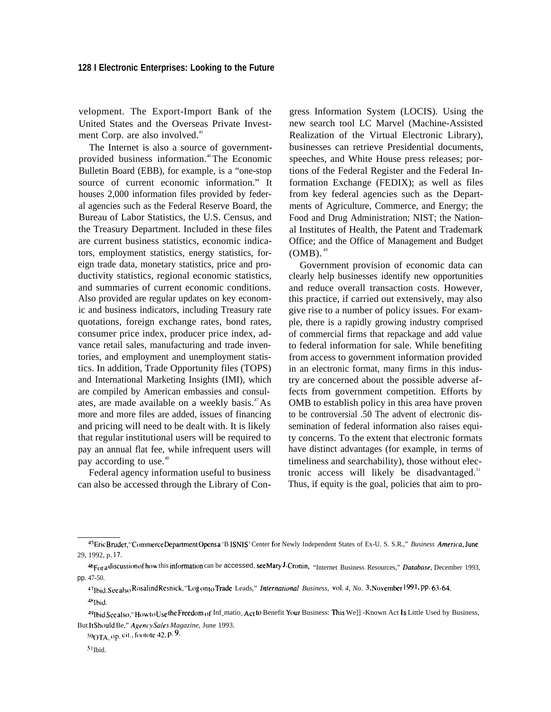velopment. The Export-Import Bank of the United States and the Overseas Private Investment Corp. are also involved.<sup>45</sup>

The Internet is also a source of governmentprovided business information.<sup>46</sup>The Economic Bulletin Board (EBB), for example, is a "one-stop source of current economic information." It houses 2,000 information files provided by federal agencies such as the Federal Reserve Board, the Bureau of Labor Statistics, the U.S. Census, and the Treasury Department. Included in these files are current business statistics, economic indicators, employment statistics, energy statistics, foreign trade data, monetary statistics, price and productivity statistics, regional economic statistics, and summaries of current economic conditions. Also provided are regular updates on key economic and business indicators, including Treasury rate quotations, foreign exchange rates, bond rates, consumer price index, producer price index, advance retail sales, manufacturing and trade inventories, and employment and unemployment statistics. In addition, Trade Opportunity files (TOPS) and International Marketing Insights (IMI), which are compiled by American embassies and consulates, are made available on a weekly basis.<sup>47</sup>As more and more files are added, issues of financing and pricing will need to be dealt with. It is likely that regular institutional users will be required to pay an annual flat fee, while infrequent users will pay according to use.<sup>48</sup>

Federal agency information useful to business can also be accessed through the Library of Congress Information System (LOCIS). Using the new search tool LC Marvel (Machine-Assisted Realization of the Virtual Electronic Library), businesses can retrieve Presidential documents, speeches, and White House press releases; portions of the Federal Register and the Federal Information Exchange (FEDIX); as well as files from key federal agencies such as the Departments of Agriculture, Commerce, and Energy; the Food and Drug Administration; NIST; the National Institutes of Health, the Patent and Trademark Office; and the Office of Management and Budget  $(OMB).<sup>49</sup>$ 

Government provision of economic data can clearly help businesses identify new opportunities and reduce overall transaction costs. However, this practice, if carried out extensively, may also give rise to a number of policy issues. For example, there is a rapidly growing industry comprised of commercial firms that repackage and add value to federal information for sale. While benefiting from access to government information provided in an electronic format, many firms in this industry are concerned about the possible adverse affects from government competition. Efforts by OMB to establish policy in this area have proven to be controversial .50 The advent of electronic dissemination of federal information also raises equity concerns. To the extent that electronic formats have distinct advantages (for example, in terms of timeliness and searchability), those without electronic access will likely be disadvantaged. $51$ Thus, if equity is the goal, policies that aim to pro-

 $50<sub>OTA</sub>$ , op. cit., footote 42, p. 9.

<sup>45</sup> Eric Bruder, "Commerce Department Opens a 'B ISNIS' Center for Newly Independent States of Ex-U. S. S.R.," *Business America*, June 29, 1992, p. 17.

<sup>~</sup>For <sup>~</sup> dl~cusslon ofhow" this inftmnation can be accessed, see Mary J. Cronin) "Internet Business Resources," *Darabase,* December 1993, pp. 47-50.

<sup>~</sup>T1bi~. see ~]~() Rosa]lnd Resnick, "Log on [() Trade Leads," *Internaliomd Business, vO\. 4, No. ~, Novembr 199 <sup>I</sup> !* PP. 63"64. 'Ibid.

<sup>&</sup>lt;sup>49</sup>Ibid See also, "How to Use the Freedom of Inf<sub>a</sub>matio<sub>a</sub> Act to Benefit Your Business: This We]] -Known Act Is Little Used by Business, But It Should Be," Agency Sales Magazine, June 1993.

<sup>51</sup> Ibid.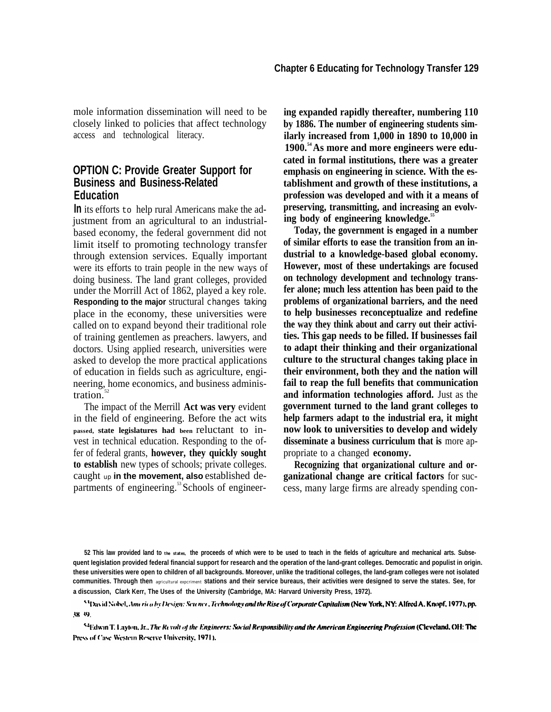mole information dissemination will need to be closely linked to policies that affect technology access and technological literacy.

## **OPTION C: Provide Greater Support for Business and Business-Related Education**

**In** its efforts to help rural Americans make the adjustment from an agricultural to an industrialbased economy, the federal government did not limit itself to promoting technology transfer through extension services. Equally important were its efforts to train people in the new ways of doing business. The land grant colleges, provided under the Morrill Act of 1862, played a key role. **Responding to the major** structural changes taking place in the economy, these universities were called on to expand beyond their traditional role of training gentlemen as preachers. lawyers, and doctors. Using applied research, universities were asked to develop the more practical applications of education in fields such as agriculture, engineering, home economics, and business administration. $52$ 

The impact of the Merrill **Act was very** evident in the field of engineering. Before the act wits **passed, state legislatures had been** reluctant to invest in technical education. Responding to the offer of federal grants, **however, they quickly sought to establish** new types of schools; private colleges. caught up **in the movement, also** established departments of engineering.<sup>53</sup>Schools of engineer**ing expanded rapidly thereafter, numbering 110 by 1886. The number of engineering students similarly increased from 1,000 in 1890 to 10,000 in 1900.<sup>54</sup>As more and more engineers were educated in formal institutions, there was a greater emphasis on engineering in science. With the establishment and growth of these institutions, a profession was developed and with it a means of preserving, transmitting, and increasing an evolving body of engineering knowledge.<sup>55</sup>**

**Today, the government is engaged in a number of similar efforts to ease the transition from an industrial to a knowledge-based global economy. However, most of these undertakings are focused on technology development and technology transfer alone; much less attention has been paid to the problems of organizational barriers, and the need to help businesses reconceptualize and redefine the way they think about and carry out their activities. This gap needs to be filled. If businesses fail to adapt their thinking and their organizational culture to the structural changes taking place in their environment, both they and the nation will fail to reap the full benefits that communication and information technologies afford.** Just as the **government turned to the land grant colleges to help farmers adapt to the industrial era, it might now look to universities to develop and widely disseminate a business curriculum that is** more appropriate to a changed **economy.**

**Recognizing that organizational culture and organizational change are critical factors** for success, many large firms are already spending con-

**52 This law provided land to the states, the proceeds of which were to be used to teach in the fields of agriculture and mechanical arts. Subsequent Iegislation provided federal financial support for research and the operation of the land-grant colleges. Democratic and populist in origin. these universities were open to children of all backgrounds. Moreover, unlike the traditional colleges, the land-gram colleges were not isolated communities. Through then** agricultural expcriment **stations and their service bureaus, their activities were designed to serve the states. See, for a discussion, Clark Kerr, The Uses of the University (Cambridge, MA: Harvard University Press, 1972).**

<sup>53</sup> David Nobel, America by Devign: Science, Technology and the Rise of Corporate Capitalism (New York, NY: Alfred A, Knopf, 1977), pp. 38.39.

<sup>54</sup>Edwin T. Layton, Jr., The Revolt of the Engineers: Social Responsibility and the American Engineering Profession (Cleveland, OH: The Press of Case Western Reserve University, 1971).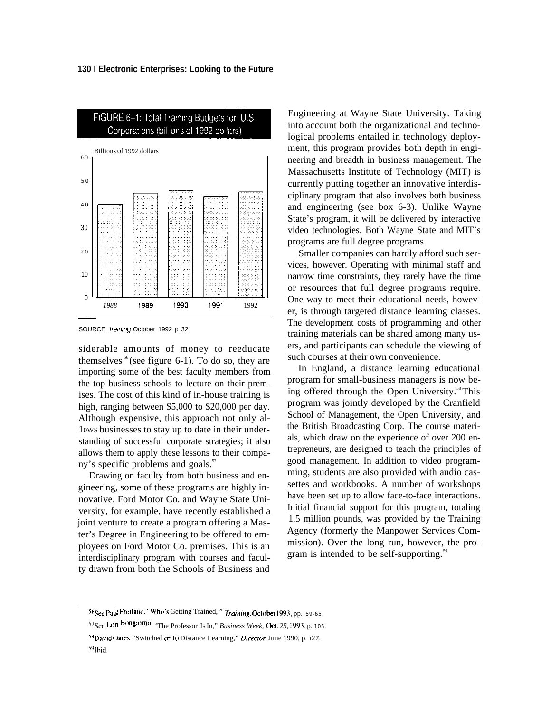

SOURCE Training October 1992 p 32

siderable amounts of money to reeducate themselves  $56$  (see figure 6-1). To do so, they are importing some of the best faculty members from the top business schools to lecture on their premises. The cost of this kind of in-house training is high, ranging between \$5,000 to \$20,000 per day. Although expensive, this approach not only al-10WS businesses to stay up to date in their understanding of successful corporate strategies; it also allows them to apply these lessons to their company's specific problems and goals. $57$ 

Drawing on faculty from both business and engineering, some of these programs are highly innovative. Ford Motor Co. and Wayne State University, for example, have recently established a joint venture to create a program offering a Master's Degree in Engineering to be offered to employees on Ford Motor Co. premises. This is an interdisciplinary program with courses and faculty drawn from both the Schools of Business and

Engineering at Wayne State University. Taking into account both the organizational and technological problems entailed in technology deployment, this program provides both depth in engineering and breadth in business management. The Massachusetts Institute of Technology (MIT) is currently putting together an innovative interdisciplinary program that also involves both business and engineering (see box 6-3). Unlike Wayne State's program, it will be delivered by interactive video technologies. Both Wayne State and MIT's programs are full degree programs.

Smaller companies can hardly afford such services, however. Operating with minimal staff and narrow time constraints, they rarely have the time or resources that full degree programs require. One way to meet their educational needs, however, is through targeted distance learning classes. The development costs of programming and other training materials can be shared among many users, and participants can schedule the viewing of such courses at their own convenience.

In England, a distance learning educational program for small-business managers is now being offered through the Open University.<sup>58</sup> This program was jointly developed by the Cranfield School of Management, the Open University, and the British Broadcasting Corp. The course materials, which draw on the experience of over 200 entrepreneurs, are designed to teach the principles of good management. In addition to video programming, students are also provided with audio cassettes and workbooks. A number of workshops have been set up to allow face-to-face interactions. Initial financial support for this program, totaling 1.5 million pounds, was provided by the Training Agency (formerly the Manpower Services Commission). Over the long run, however, the program is intended to be self-supporting.<sup>59</sup>

<sup>56</sup> See Paul Froiland, "Who's Getting Trained, " Training, October 1993, pp. 59-65.

<sup>57&</sup>lt;sub>See</sub> Lori Bongiomo, The Professor Is In," *Business Week*, Oct. 25, 1993, p. 105.

<sup>&</sup>lt;sup>58</sup>David Oates, "Switched onto Distance Learning," Director, June 1990, p. 127.

<sup>&</sup>lt;sup>59</sup>Ibid.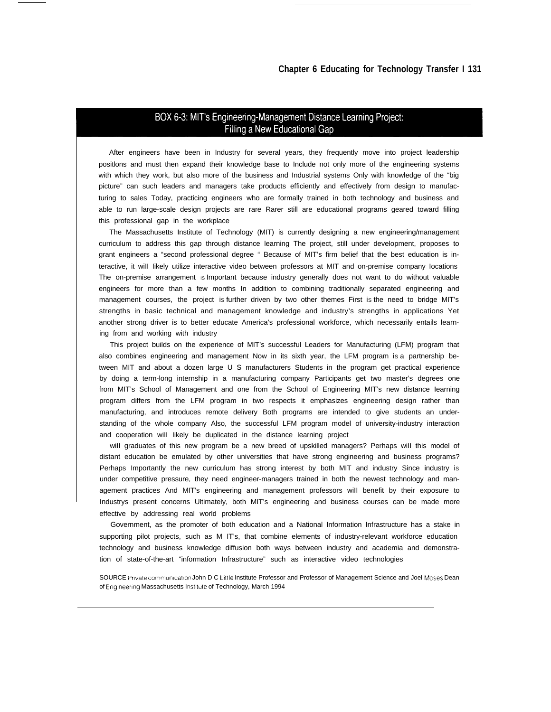## BOX 6-3: MIT's Engineering-Management Distance Learning Project: Filling a New Educational Gap

After engineers have been in Industry for several years, they frequently move into project leadership positlons and must then expand their knowledge base to Include not only more of the engineering systems with which they work, but also more of the business and Industrial systems Only with knowledge of the "big picture" can such leaders and managers take products efficiently and effectively from design to manufacturing to sales Today, practicing engineers who are formally trained in both technology and business and able to run large-scale design projects are rare Rarer still are educational programs geared toward filling this professional gap in the workplace

The Massachusetts Institute of Technology (MIT) is currently designing a new engineering/management curriculum to address this gap through distance learning The project, still under development, proposes to grant engineers a "second professional degree " Because of MIT's firm belief that the best education is interactive, it wiII Iikely utilize interactive video between professors at MIT and on-premise company Iocations The on-premise arrangement is Important because industry generally does not want to do without valuable engineers for more than a few months In addition to combining traditionally separated engineering and management courses, the project is further driven by two other themes First is the need to bridge MIT's strengths in basic technical and management knowledge and industry's strengths in applications Yet another strong driver is to better educate America's professional workforce, which necessarily entails learning from and working with industry

This project builds on the experience of MIT's successful Leaders for Manufacturing (LFM) program that also combines engineering and management Now in its sixth year, the LFM program is a partnership between MIT and about a dozen large U S manufacturers Students in the program get practical experience by doing a term-long internship in a manufacturing company Participants get two master's degrees one from MIT's School of Management and one from the School of Engineering MIT's new distance Iearning program differs from the LFM program in two respects it emphasizes engineering design rather than manufacturing, and introduces remote delivery Both programs are intended to give students an understanding of the whole company Also, the successful LFM program model of university-industry interaction and cooperation wiII Iikely be duplicated in the distance Iearning project

wiII graduates of this new program be a new breed of upskilled managers? Perhaps wiII this model of distant education be emulated by other universities that have strong engineering and business programs? Perhaps Importantly the new curriculum has strong interest by both MIT and industry Since industry is under competitive pressure, they need engineer-managers trained in both the newest technology and management practices And MIT's engineering and management professors wiII benefit by their exposure to Industrys present concerns Ultimately, both MIT's engineering and business courses can be made more effective by addressing real world problems

Government, as the promoter of both education and a National Information Infrastructure has a stake in supporting pilot projects, such as M IT's, that combine elements of industry-relevant workforce education technology and business knowledge diffusion both ways between industry and academia and demonstration of state-of-the-art "information Infrastructure" such as interactive video technologies

SOURCE Private communication John D C Little Institute Professor and Professor of Management Science and Joel Mcses Dean of Engineering Massachusetts Institute of Technology, March 1994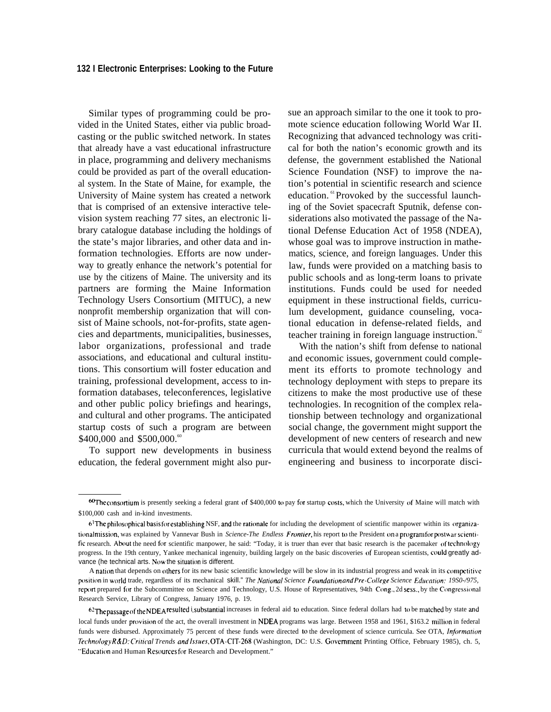Similar types of programming could be provided in the United States, either via public broadcasting or the public switched network. In states that already have a vast educational infrastructure in place, programming and delivery mechanisms could be provided as part of the overall educational system. In the State of Maine, for example, the University of Maine system has created a network that is comprised of an extensive interactive television system reaching 77 sites, an electronic library catalogue database including the holdings of the state's major libraries, and other data and information technologies. Efforts are now underway to greatly enhance the network's potential for use by the citizens of Maine. The university and its partners are forming the Maine Information Technology Users Consortium (MITUC), a new nonprofit membership organization that will consist of Maine schools, not-for-profits, state agencies and departments, municipalities, businesses, labor organizations, professional and trade associations, and educational and cultural institutions. This consortium will foster education and training, professional development, access to information databases, teleconferences, legislative and other public policy briefings and hearings, and cultural and other programs. The anticipated startup costs of such a program are between \$400,000 and \$500,000.

To support new developments in business education, the federal government might also pursue an approach similar to the one it took to promote science education following World War II. Recognizing that advanced technology was critical for both the nation's economic growth and its defense, the government established the National Science Foundation (NSF) to improve the nation's potential in scientific research and science education.<sup>61</sup>Provoked by the successful launching of the Soviet spacecraft Sputnik, defense considerations also motivated the passage of the National Defense Education Act of 1958 (NDEA), whose goal was to improve instruction in mathematics, science, and foreign languages. Under this law, funds were provided on a matching basis to public schools and as long-term loans to private institutions. Funds could be used for needed equipment in these instructional fields, curriculum development, guidance counseling, vocational education in defense-related fields, and teacher training in foreign language instruction. $62$ 

With the nation's shift from defense to national and economic issues, government could complement its efforts to promote technology and technology deployment with steps to prepare its citizens to make the most productive use of these technologies. In recognition of the complex relationship between technology and organizational social change, the government might support the development of new centers of research and new curricula that would extend beyond the realms of engineering and business to incorporate disci-

62 The passage of the NDEA resulted i substantial increases in federal aid to education. Since federal dollars had to be matched by state and local funds under provision of the act, the overall investment in NDEA programs was large. Between 1958 and 1961, \$163.2 million in federal funds were disbursed. Approximately 75 percent of these funds were directed to the development of science curricula. See OTA, *Information Tethno/ogy R&D: Critica/ Trends* and /ssues, OTA-CIT-268 (Washington, DC: U.S. Government Printing Office, February 1985), ch. 5, "Education and Human Resources for Research and Development."

<sup>&</sup>lt;sup>60</sup>The consortium is presently seeking a federal grant of \$400,000 to pay for startup costs, which the University of Maine will match with \$100,000 cash and in-kind investments.

 $6$ <sup>I</sup>The philosophical basis for establishing NSF, and the rationale for including the development of scientific manpower within its organizationalmission, was explained by Vannevar Bush in *Science-The Endless Frontier*, his report to the President on a program for postwar scientific research. About the need for scientific manpower, he said: "Today, it is truer than ever that basic research is the pacemaker of technology progress. In the 19th century, Yankee mechanical ingenuity, building largely on the basic discoveries of European scientists, could greatly advance (he technical arts. Now the situation is different.

A nation that depends on others for its new basic scientific knowledge will be slow in its industrial progress and weak in its competitive position in world trade, regardless of its mechanical skill." The National Science Foundation and Pre-College Science Education: 19S0-/975, report prepared for the Subcommittee on Science and Technology, U.S. House of Representatives, 94th Cong., 2d sess., by the Congressional Research Service, Library of Congress, January 1976, p. 19.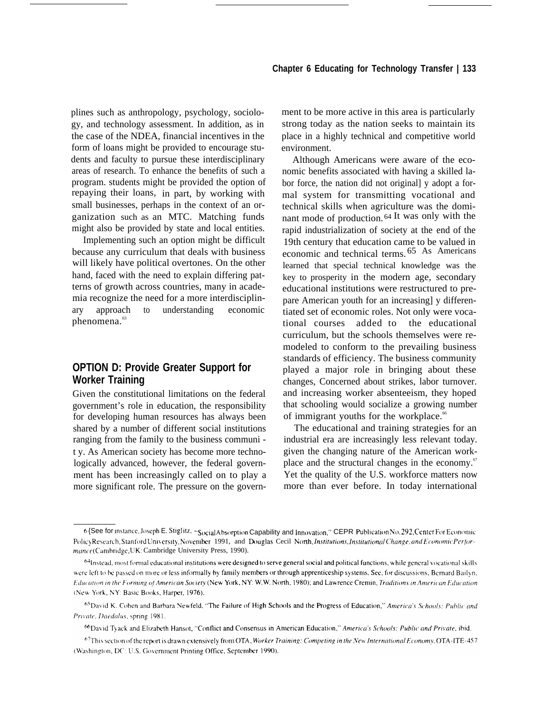plines such as anthropology, psychology, sociology, and technology assessment. In addition, as in the case of the NDEA, financial incentives in the form of loans might be provided to encourage students and faculty to pursue these interdisciplinary areas of research. To enhance the benefits of such a program. students might be provided the option of repaying their loans, in part, by working with small businesses, perhaps in the context of an organization such as an MTC. Matching funds might also be provided by state and local entities.

Implementing such an option might be difficult because any curriculum that deals with business will likely have political overtones. On the other hand, faced with the need to explain differing patterns of growth across countries, many in academia recognize the need for a more interdisciplinary approach to understanding economic phenomena.<sup>63</sup>

## **OPTION D: Provide Greater Support for Worker Training**

Given the constitutional limitations on the federal government's role in education, the responsibility for developing human resources has always been shared by a number of different social institutions ranging from the family to the business communi t y. As American society has become more technologically advanced, however, the federal government has been increasingly called on to play a more significant role. The pressure on the government to be more active in this area is particularly strong today as the nation seeks to maintain its place in a highly technical and competitive world environment.

Although Americans were aware of the economic benefits associated with having a skilled labor force, the nation did not original] y adopt a formal system for transmitting vocational and technical skills when agriculture was the dominant mode of production. <sup>64</sup>It was only with the rapid industrialization of society at the end of the 19th century that education came to be valued in economic and technical terms. 65 As Americans learned that special technical knowledge was the key to prosperity in the modern age, secondary educational institutions were restructured to prepare American youth for an increasing] y differentiated set of economic roles. Not only were vocational courses added to the educational curriculum, but the schools themselves were remodeled to conform to the prevailing business standards of efficiency. The business community played a major role in bringing about these changes, Concerned about strikes, labor turnover. and increasing worker absenteeism, they hoped that schooling would socialize a growing number of immigrant youths for the workplace.<sup>66</sup>

The educational and training strategies for an industrial era are increasingly less relevant today. given the changing nature of the American workplace and the structural changes in the economy.<sup>67</sup> Yet the quality of the U.S. workforce matters now more than ever before. In today international

 $6$  {See for instance, Joseph E. Stiglitz. "Social Absorption Capability and Innovation," CEPR Publication No. 292, Center For Economic Policy Research. Stanford University, November 1991, and Douglas Cecil North, *Institutions, Institutional Change, and Economic Perfor*mance (Cambridge, UK: Cambridge University Press, 1990).

<sup>64</sup>Instead, most formal educational institutions were designed to serve general social and political functions, while general vocational skills were left to be passed on more or less informally by family members or through apprenticeship systems. See, for discussions, Bernard Bailyn, Education in the Forming of American Society (New York, NY: W.W. North, 1980); and Lawrence Cremin, Traditions in American Education (New York, NY: Basic Books, Harper, 1976).

<sup>65</sup> David K. Cohen and Barbara Newfeld, "The Failure of High Schools and the Progress of Education," America's Schools: Public and Private, Daedalus, spring 1981.

<sup>66</sup> David Tyack and Elizabeth Hansot, "Conflict and Consensus in American Education," America's Schools: Public and Private, ibid.

<sup>67</sup>This section of the report is drawn extensively from OTA, Worker Training: Competing in the New International Economy, OTA-ITE-457 (Washington, DC: U.S. Government Printing Office, September 1990).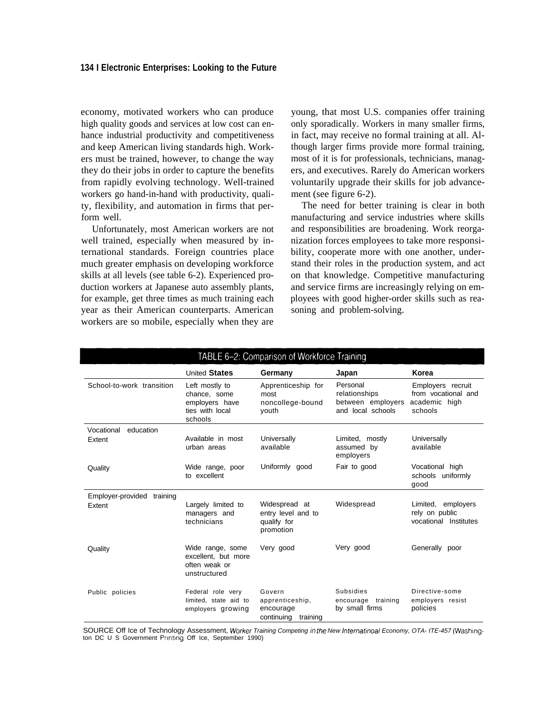### **134 I Electronic Enterprises: Looking to the Future**

economy, motivated workers who can produce high quality goods and services at low cost can enhance industrial productivity and competitiveness and keep American living standards high. Workers must be trained, however, to change the way they do their jobs in order to capture the benefits from rapidly evolving technology. Well-trained workers go hand-in-hand with productivity, quality, flexibility, and automation in firms that perform well.

Unfortunately, most American workers are not well trained, especially when measured by international standards. Foreign countries place much greater emphasis on developing workforce skills at all levels (see table 6-2). Experienced production workers at Japanese auto assembly plants, for example, get three times as much training each year as their American counterparts. American workers are so mobile, especially when they are

young, that most U.S. companies offer training only sporadically. Workers in many smaller firms, in fact, may receive no formal training at all. Although larger firms provide more formal training, most of it is for professionals, technicians, managers, and executives. Rarely do American workers voluntarily upgrade their skills for job advancement (see figure 6-2).

The need for better training is clear in both manufacturing and service industries where skills and responsibilities are broadening. Work reorganization forces employees to take more responsibility, cooperate more with one another, understand their roles in the production system, and act on that knowledge. Competitive manufacturing and service firms are increasingly relying on employees with good higher-order skills such as reasoning and problem-solving.

| TABLE 6-2: Comparison of Workforce Training |                                                                                |                                                                  |                                                                     |                                                                      |
|---------------------------------------------|--------------------------------------------------------------------------------|------------------------------------------------------------------|---------------------------------------------------------------------|----------------------------------------------------------------------|
|                                             | <b>United States</b>                                                           | Germany                                                          | Japan                                                               | Korea                                                                |
| School-to-work transition                   | Left mostly to<br>chance, some<br>employers have<br>ties with local<br>schools | Apprenticeship for<br>most<br>noncollege-bound<br>youth          | Personal<br>relationships<br>between employers<br>and local schools | Employers recruit<br>from vocational and<br>academic high<br>schools |
| Vocational<br>education                     |                                                                                |                                                                  |                                                                     |                                                                      |
| Extent                                      | Available in most<br>urban areas                                               | Universally<br>available                                         | Limited, mostly<br>assumed by<br>employers                          | Universally<br>available                                             |
| Quality                                     | Wide range, poor<br>to excellent                                               | Uniformly good                                                   | Fair to good                                                        | Vocational high<br>schools uniformly<br>good                         |
| Employer-provided<br>training               |                                                                                |                                                                  |                                                                     |                                                                      |
| Extent                                      | Largely limited to<br>managers and<br>technicians                              | Widespread at<br>entry level and to<br>qualify for<br>promotion  | Widespread                                                          | Limited, employers<br>rely on public<br>vocational Institutes        |
| Quality                                     | Wide range, some<br>excellent. but more<br>often weak or<br>unstructured       | Very good                                                        | Very good                                                           | Generally poor                                                       |
| Public policies                             | Federal role very<br>limited, state aid to<br>employers growing                | Govern<br>apprenticeship,<br>encourage<br>continuing<br>training | <b>Subsidies</b><br>encourage training<br>by small firms            | Directive-some<br>employers resist<br>policies                       |

SOURCE Off Ice of Technology Assessment, Worker Training Competing in the New Internatinoal Economy, OTA- ITE-457 (Washing<br>ton DC U S Government Printing Off Ice, September 1990)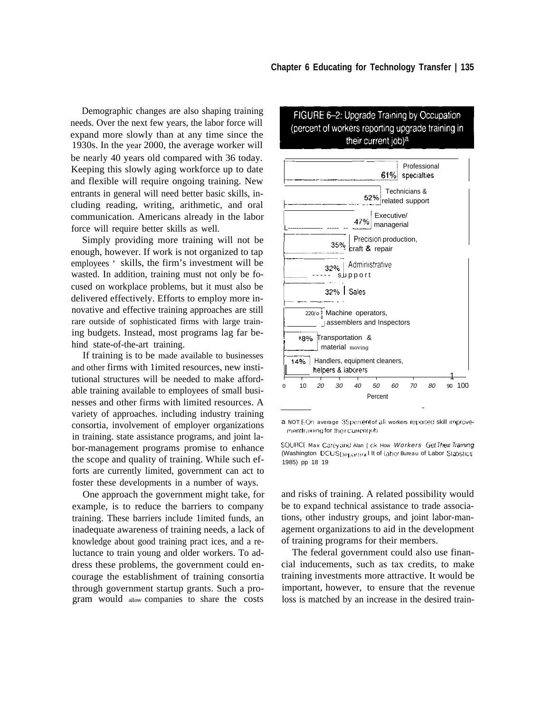Demographic changes are also shaping training needs. Over the next few years, the labor force will expand more slowly than at any time since the 1930s. In the year 2000, the average worker will be nearly 40 years old compared with 36 today. Keeping this slowly aging workforce up to date and flexible will require ongoing training. New entrants in general will need better basic skills, including reading, writing, arithmetic, and oral communication. Americans already in the labor force will require better skills as well.

Simply providing more training will not be enough, however. If work is not organized to tap employees ' skills, the firm's investment will be wasted. In addition, training must not only be focused on workplace problems, but it must also be delivered effectively. Efforts to employ more innovative and effective training approaches are still rare outside of sophisticated firms with large training budgets. Instead, most programs lag far behind state-of-the-art training.

If training is to be made available to businesses and other firms with 1imited resources, new institutional structures will be needed to make affordable training available to employees of small businesses and other firms with limited resources. A variety of approaches. including industry training consortia, involvement of employer organizations in training. state assistance programs, and joint labor-management programs promise to enhance the scope and quality of training. While such efforts are currently limited, government can act to foster these developments in a number of ways.

One approach the government might take, for example, is to reduce the barriers to company training. These barriers include 1imited funds, an inadequate awareness of training needs, a lack of knowledge about good training pract ices, and a reluctance to train young and older workers. To address these problems, the government could encourage the establishment of training consortia through government startup grants. Such a pro- , gram would allow companies to share the costs



## FIGURE 6-2: Upgrade Training by Occupation (percent of workers reporting upgrade training in their current job)<sup>a</sup>

a NOT EOn average 35 percent of all workers reported skill improvementtraining for their current job

SOURCF Max Carey and Alan [ ck How Workers Get Their Training (Washington DCUS Departmel It of labor Bureau of Labor Statistics 1985) pp 18 19

and risks of training. A related possibility would be to expand technical assistance to trade associations, other industry groups, and joint labor-management organizations to aid in the development of training programs for their members.

The federal government could also use financial inducements, such as tax credits, to make training investments more attractive. It would be important, however, to ensure that the revenue loss is matched by an increase in the desired train-